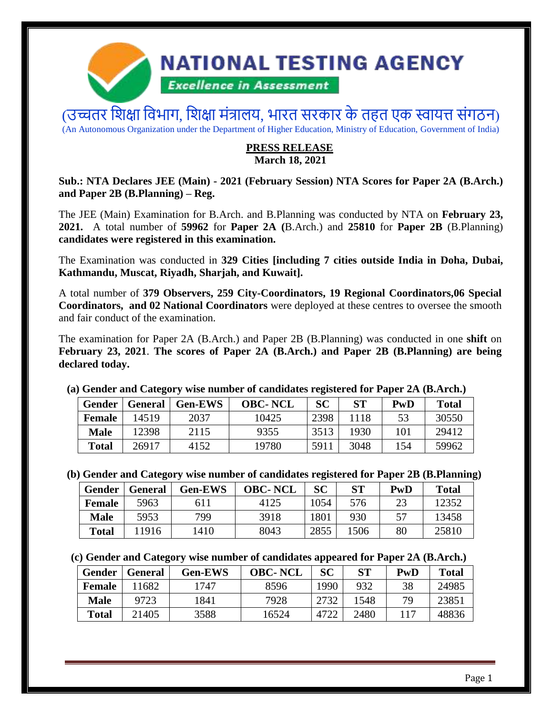

(उच्चतर शिक्षा विभाग, शिक्षा मंत्रालय, भारत सरकार के तहत एक स्वायत्त संगठन) (An Autonomous Organization under the Department of Higher Education, Ministry of Education, Government of India)

### **PRESS RELEASE March 18, 2021**

#### **Sub.: NTA Declares JEE (Main) - 2021 (February Session) NTA Scores for Paper 2A (B.Arch.) and Paper 2B (B.Planning) – Reg.**

The JEE (Main) Examination for B.Arch. and B.Planning was conducted by NTA on **February 23, 2021.** A total number of **59962** for **Paper 2A (**B.Arch.) and **25810** for **Paper 2B** (B.Planning) **candidates were registered in this examination.**

The Examination was conducted in **329 Cities [including 7 cities outside India in Doha, Dubai, Kathmandu, Muscat, Riyadh, Sharjah, and Kuwait].** 

A total number of **379 Observers, 259 City-Coordinators, 19 Regional Coordinators,06 Special Coordinators, and 02 National Coordinators** were deployed at these centres to oversee the smooth and fair conduct of the examination.

The examination for Paper 2A (B.Arch.) and Paper 2B (B.Planning) was conducted in one **shift** on **February 23, 2021**. **The scores of Paper 2A (B.Arch.) and Paper 2B (B.Planning) are being declared today.**

|               | $\alpha$ control with currence $\beta$ which interests the currence of explorer currence and $\beta$ and $\beta$ |                        |                |           |      |     |              |  |
|---------------|------------------------------------------------------------------------------------------------------------------|------------------------|----------------|-----------|------|-----|--------------|--|
|               | Gender   General                                                                                                 | $\blacksquare$ Gen-EWS | <b>OBC-NCL</b> | <b>SC</b> | ST   | PwD | <b>Total</b> |  |
| <b>Female</b> | 14519                                                                                                            | 2037                   | 10425          | 2398      | 1118 | 53  | 30550        |  |
| <b>Male</b>   | 12398                                                                                                            | 2115                   | 9355           | 3513      | 1930 | 101 | 29412        |  |
| <b>Total</b>  | 26917                                                                                                            | 4152                   | 19780          | 5911      | 3048 | 154 | 59962        |  |

#### **(a) Gender and Category wise number of candidates registered for Paper 2A (B.Arch.)**

**(b) Gender and Category wise number of candidates registered for Paper 2B (B.Planning)**

| Gender        | <b>General</b> | <b>Gen-EWS</b> | <b>OBC-NCL</b> | SC   | <b>ST</b> | PwD | <b>Total</b> |
|---------------|----------------|----------------|----------------|------|-----------|-----|--------------|
| <b>Female</b> | 5963           | 611            | 4125           | 1054 | 576       | 23  | 12352        |
| <b>Male</b>   | 5953           | 799            | 3918           | 1801 | 930       |     | 13458        |
| <b>Total</b>  | 11916          | 1410           | 8043           | 2855 | 1506      | 80  | 25810        |

**(c) Gender and Category wise number of candidates appeared for Paper 2A (B.Arch.)** 

| Gender        | <b>General</b> | <b>Gen-EWS</b> | <b>OBC-NCL</b> | <b>SC</b> | <b>ST</b> | PwD | <b>Total</b> |
|---------------|----------------|----------------|----------------|-----------|-----------|-----|--------------|
| <b>Female</b> | 11682          | 1747           | 8596           | 1990      | 932       | 38  | 24985        |
| <b>Male</b>   | 9723           | 1841           | 7928           | 2732      | 1548      | 79  | 23851        |
| <b>Total</b>  | 21405          | 3588           | 16524          | 4722      | 2480      | 117 | 48836        |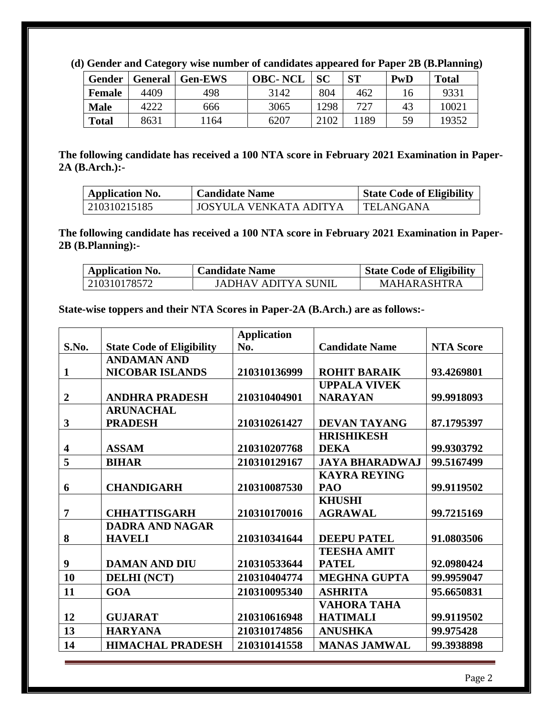**(d) Gender and Category wise number of candidates appeared for Paper 2B (B.Planning)**

| Gender       | <b>General</b> | <b>Gen-EWS</b> | <b>OBC-NCL</b> | SC   | <b>ST</b> | PwD | <b>Total</b> |
|--------------|----------------|----------------|----------------|------|-----------|-----|--------------|
| Female       | 4409           | 498            | 3142           | 804  | 462       |     | 9331         |
| <b>Male</b>  |                | 666            | 3065           | 1298 | 727       | 43  | 10021        |
| <b>Total</b> | 8631           | 164            | 6207           | 2102 | 1189      | 59  | 19352        |

**The following candidate has received a 100 NTA score in February 2021 Examination in Paper-2A (B.Arch.):-**

| <b>Application No.</b> | <b>Candidate Name</b>  | <b>State Code of Eligibility</b> |
|------------------------|------------------------|----------------------------------|
| 210310215185           | JOSYULA VENKATA ADITYA | TELANGANA                        |

**The following candidate has received a 100 NTA score in February 2021 Examination in Paper-2B (B.Planning):-**

| <b>Application No.</b> | <b>Candidate Name</b> | <b>State Code of Eligibility</b> |
|------------------------|-----------------------|----------------------------------|
| 210310178572           | JADHAV ADITYA SUNIL   | <b>MAHARASHTRA</b>               |

**State-wise toppers and their NTA Scores in Paper-2A (B.Arch.) are as follows:-**

|                |                                  | <b>Application</b> |                       |                  |
|----------------|----------------------------------|--------------------|-----------------------|------------------|
| S.No.          | <b>State Code of Eligibility</b> | No.                | <b>Candidate Name</b> | <b>NTA Score</b> |
|                | <b>ANDAMAN AND</b>               |                    |                       |                  |
| 1              | <b>NICOBAR ISLANDS</b>           | 210310136999       | <b>ROHIT BARAIK</b>   | 93.4269801       |
|                |                                  |                    | <b>UPPALA VIVEK</b>   |                  |
| $\overline{2}$ | <b>ANDHRA PRADESH</b>            | 210310404901       | <b>NARAYAN</b>        | 99.9918093       |
|                | <b>ARUNACHAL</b>                 |                    |                       |                  |
| 3              | <b>PRADESH</b>                   | 210310261427       | <b>DEVAN TAYANG</b>   | 87.1795397       |
|                |                                  |                    | <b>HRISHIKESH</b>     |                  |
| 4              | <b>ASSAM</b>                     | 210310207768       | <b>DEKA</b>           | 99.9303792       |
| 5              | <b>BIHAR</b>                     | 210310129167       | <b>JAYA BHARADWAJ</b> | 99.5167499       |
|                |                                  |                    | <b>KAYRA REYING</b>   |                  |
| 6              | <b>CHANDIGARH</b>                | 210310087530       | <b>PAO</b>            | 99.9119502       |
|                |                                  |                    | <b>KHUSHI</b>         |                  |
| 7              | <b>CHHATTISGARH</b>              | 210310170016       | <b>AGRAWAL</b>        | 99.7215169       |
|                | <b>DADRA AND NAGAR</b>           |                    |                       |                  |
| 8              | <b>HAVELI</b>                    | 210310341644       | <b>DEEPU PATEL</b>    | 91.0803506       |
|                |                                  |                    | <b>TEESHA AMIT</b>    |                  |
| 9              | <b>DAMAN AND DIU</b>             | 210310533644       | <b>PATEL</b>          | 92.0980424       |
| 10             | <b>DELHI (NCT)</b>               | 210310404774       | <b>MEGHNA GUPTA</b>   | 99.9959047       |
| 11             | <b>GOA</b>                       | 210310095340       | <b>ASHRITA</b>        | 95.6650831       |
|                |                                  |                    | <b>VAHORA TAHA</b>    |                  |
| 12             | <b>GUJARAT</b>                   | 210310616948       | <b>HATIMALI</b>       | 99.9119502       |
| 13             | <b>HARYANA</b>                   | 210310174856       | <b>ANUSHKA</b>        | 99.975428        |
| 14             | <b>HIMACHAL PRADESH</b>          | 210310141558       | <b>MANAS JAMWAL</b>   | 99.3938898       |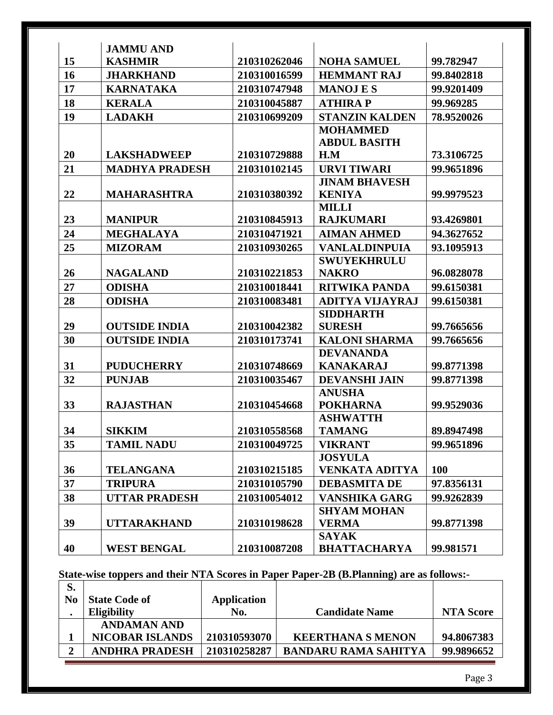|    | <b>JAMMU AND</b>      |              |                        |            |
|----|-----------------------|--------------|------------------------|------------|
| 15 | <b>KASHMIR</b>        | 210310262046 | <b>NOHA SAMUEL</b>     | 99.782947  |
| 16 | <b>JHARKHAND</b>      | 210310016599 | <b>HEMMANT RAJ</b>     | 99.8402818 |
| 17 | <b>KARNATAKA</b>      | 210310747948 | <b>MANOJES</b>         | 99.9201409 |
| 18 | <b>KERALA</b>         | 210310045887 | <b>ATHIRAP</b>         | 99.969285  |
| 19 | <b>LADAKH</b>         | 210310699209 | <b>STANZIN KALDEN</b>  | 78.9520026 |
|    |                       |              | <b>MOHAMMED</b>        |            |
|    |                       |              | <b>ABDUL BASITH</b>    |            |
| 20 | <b>LAKSHADWEEP</b>    | 210310729888 | H.M                    | 73.3106725 |
| 21 | <b>MADHYA PRADESH</b> | 210310102145 | <b>URVI TIWARI</b>     | 99.9651896 |
|    |                       |              | <b>JINAM BHAVESH</b>   |            |
| 22 | <b>MAHARASHTRA</b>    | 210310380392 | <b>KENIYA</b>          | 99.9979523 |
|    |                       |              | <b>MILLI</b>           |            |
| 23 | <b>MANIPUR</b>        | 210310845913 | <b>RAJKUMARI</b>       | 93.4269801 |
| 24 | <b>MEGHALAYA</b>      | 210310471921 | <b>AIMAN AHMED</b>     | 94.3627652 |
| 25 | <b>MIZORAM</b>        | 210310930265 | <b>VANLALDINPUIA</b>   | 93.1095913 |
|    |                       |              | <b>SWUYEKHRULU</b>     |            |
| 26 | <b>NAGALAND</b>       | 210310221853 | <b>NAKRO</b>           | 96.0828078 |
| 27 | <b>ODISHA</b>         | 210310018441 | <b>RITWIKA PANDA</b>   | 99.6150381 |
| 28 | <b>ODISHA</b>         | 210310083481 | <b>ADITYA VIJAYRAJ</b> | 99.6150381 |
|    |                       |              | <b>SIDDHARTH</b>       |            |
| 29 | <b>OUTSIDE INDIA</b>  | 210310042382 | <b>SURESH</b>          | 99.7665656 |
| 30 | <b>OUTSIDE INDIA</b>  | 210310173741 | <b>KALONI SHARMA</b>   | 99.7665656 |
|    |                       |              | <b>DEVANANDA</b>       |            |
| 31 | <b>PUDUCHERRY</b>     | 210310748669 | <b>KANAKARAJ</b>       | 99.8771398 |
| 32 | <b>PUNJAB</b>         | 210310035467 | <b>DEVANSHI JAIN</b>   | 99.8771398 |
|    |                       |              | <b>ANUSHA</b>          |            |
| 33 | <b>RAJASTHAN</b>      | 210310454668 | <b>POKHARNA</b>        | 99.9529036 |
|    |                       |              | <b>ASHWATTH</b>        |            |
| 34 | <b>SIKKIM</b>         | 210310558568 | <b>TAMANG</b>          | 89.8947498 |
| 35 | TAMIL NADU            | 210310049725 | <b>VIKRANT</b>         | 99.9651896 |
|    |                       |              | <b>JOSYULA</b>         |            |
| 36 | <b>TELANGANA</b>      | 210310215185 | <b>VENKATA ADITYA</b>  | 100        |
| 37 | <b>TRIPURA</b>        | 210310105790 | <b>DEBASMITA DE</b>    | 97.8356131 |
| 38 | <b>UTTAR PRADESH</b>  | 210310054012 | <b>VANSHIKA GARG</b>   | 99.9262839 |
|    |                       |              | <b>SHYAM MOHAN</b>     |            |
| 39 | <b>UTTARAKHAND</b>    | 210310198628 | <b>VERMA</b>           | 99.8771398 |
|    |                       |              | <b>SAYAK</b>           |            |
| 40 | <b>WEST BENGAL</b>    | 210310087208 | <b>BHATTACHARYA</b>    | 99.981571  |

#### **State-wise toppers and their NTA Scores in Paper Paper-2B (B.Planning) are as follows:-**

| S. |                        |                    |                             |                  |
|----|------------------------|--------------------|-----------------------------|------------------|
| No | <b>State Code of</b>   | <b>Application</b> |                             |                  |
|    | <b>Eligibility</b>     | No.                | <b>Candidate Name</b>       | <b>NTA Score</b> |
|    | ANDAMAN AND            |                    |                             |                  |
|    | <b>NICOBAR ISLANDS</b> | 210310593070       | <b>KEERTHANA S MENON</b>    | 94.8067383       |
|    | <b>ANDHRA PRADESH</b>  | 210310258287       | <b>BANDARU RAMA SAHITYA</b> | 99.9896652       |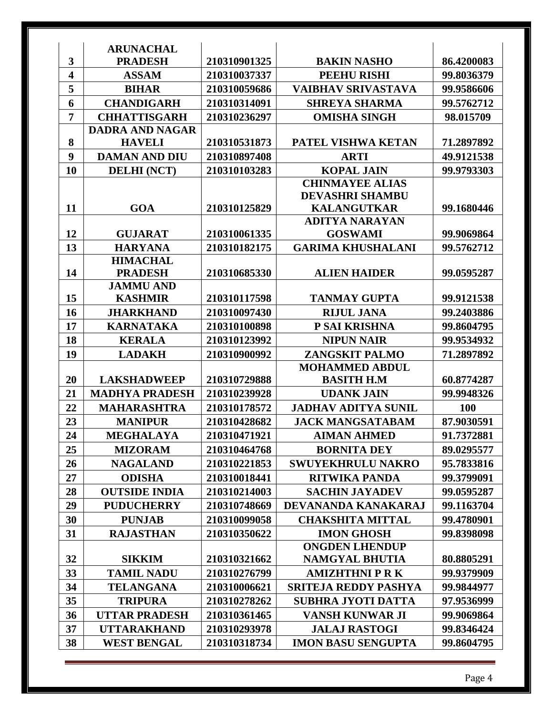|                         | <b>ARUNACHAL</b>                   |              |                             |            |
|-------------------------|------------------------------------|--------------|-----------------------------|------------|
| 3                       | <b>PRADESH</b>                     | 210310901325 | <b>BAKIN NASHO</b>          | 86.4200083 |
| $\overline{\mathbf{4}}$ | <b>ASSAM</b>                       | 210310037337 | <b>PEEHU RISHI</b>          | 99.8036379 |
| 5                       | <b>BIHAR</b>                       | 210310059686 | <b>VAIBHAV SRIVASTAVA</b>   | 99.9586606 |
| 6                       | <b>CHANDIGARH</b>                  | 210310314091 | <b>SHREYA SHARMA</b>        | 99.5762712 |
| 7                       | <b>CHHATTISGARH</b>                | 210310236297 | <b>OMISHA SINGH</b>         | 98.015709  |
|                         | <b>DADRA AND NAGAR</b>             |              |                             |            |
| 8                       | <b>HAVELI</b>                      | 210310531873 | PATEL VISHWA KETAN          | 71.2897892 |
| 9                       | <b>DAMAN AND DIU</b>               | 210310897408 | <b>ARTI</b>                 | 49.9121538 |
| 10                      | <b>DELHI (NCT)</b>                 | 210310103283 | <b>KOPAL JAIN</b>           | 99.9793303 |
|                         |                                    |              | <b>CHINMAYEE ALIAS</b>      |            |
|                         |                                    |              | <b>DEVASHRI SHAMBU</b>      |            |
| 11                      | <b>GOA</b>                         | 210310125829 | <b>KALANGUTKAR</b>          | 99.1680446 |
|                         |                                    |              | <b>ADITYA NARAYAN</b>       |            |
| 12                      | <b>GUJARAT</b>                     | 210310061335 | <b>GOSWAMI</b>              | 99.9069864 |
| 13                      | <b>HARYANA</b>                     | 210310182175 | <b>GARIMA KHUSHALANI</b>    | 99.5762712 |
|                         | <b>HIMACHAL</b>                    |              |                             |            |
| 14                      | <b>PRADESH</b><br><b>JAMMU AND</b> | 210310685330 | <b>ALIEN HAIDER</b>         | 99.0595287 |
| 15                      | <b>KASHMIR</b>                     | 210310117598 | <b>TANMAY GUPTA</b>         | 99.9121538 |
| 16                      | <b>JHARKHAND</b>                   | 210310097430 | <b>RIJUL JANA</b>           | 99.2403886 |
| 17                      | <b>KARNATAKA</b>                   | 210310100898 | P SAI KRISHNA               | 99.8604795 |
| 18                      | <b>KERALA</b>                      | 210310123992 | <b>NIPUN NAIR</b>           | 99.9534932 |
| 19                      |                                    |              | <b>ZANGSKIT PALMO</b>       |            |
|                         | <b>LADAKH</b>                      | 210310900992 | <b>MOHAMMED ABDUL</b>       | 71.2897892 |
| 20                      | <b>LAKSHADWEEP</b>                 | 210310729888 | <b>BASITH H.M</b>           | 60.8774287 |
| 21                      | <b>MADHYA PRADESH</b>              | 210310239928 | <b>UDANK JAIN</b>           | 99.9948326 |
| 22                      | <b>MAHARASHTRA</b>                 | 210310178572 | <b>JADHAV ADITYA SUNIL</b>  | 100        |
| 23                      | <b>MANIPUR</b>                     | 210310428682 | <b>JACK MANGSATABAM</b>     | 87.9030591 |
| 24                      | <b>MEGHALAYA</b>                   | 210310471921 | <b>AIMAN AHMED</b>          | 91.7372881 |
| 25                      | <b>MIZORAM</b>                     | 210310464768 | <b>BORNITA DEY</b>          | 89.0295577 |
| 26                      | <b>NAGALAND</b>                    | 210310221853 | <b>SWUYEKHRULU NAKRO</b>    | 95.7833816 |
| 27                      | <b>ODISHA</b>                      | 210310018441 | <b>RITWIKA PANDA</b>        | 99.3799091 |
| 28                      | <b>OUTSIDE INDIA</b>               | 210310214003 | <b>SACHIN JAYADEV</b>       | 99.0595287 |
| 29                      | <b>PUDUCHERRY</b>                  | 210310748669 | DEVANANDA KANAKARAJ         | 99.1163704 |
| 30                      | <b>PUNJAB</b>                      | 210310099058 | <b>CHAKSHITA MITTAL</b>     | 99.4780901 |
| 31                      | <b>RAJASTHAN</b>                   | 210310350622 | <b>IMON GHOSH</b>           | 99.8398098 |
|                         |                                    |              | <b>ONGDEN LHENDUP</b>       |            |
| 32                      | <b>SIKKIM</b>                      | 210310321662 | <b>NAMGYAL BHUTIA</b>       | 80.8805291 |
| 33                      | <b>TAMIL NADU</b>                  | 210310276799 | <b>AMIZHTHNI P R K</b>      | 99.9379909 |
| 34                      | <b>TELANGANA</b>                   | 210310006621 | <b>SRITEJA REDDY PASHYA</b> | 99.9844977 |
| 35                      | <b>TRIPURA</b>                     | 210310278262 | <b>SUBHRA JYOTI DATTA</b>   | 97.9536999 |
| 36                      | <b>UTTAR PRADESH</b>               | 210310361465 | <b>VANSH KUNWAR JI</b>      | 99.9069864 |
| 37                      | <b>UTTARAKHAND</b>                 | 210310293978 | <b>JALAJ RASTOGI</b>        | 99.8346424 |
| 38                      | <b>WEST BENGAL</b>                 | 210310318734 | <b>IMON BASU SENGUPTA</b>   | 99.8604795 |
|                         |                                    |              |                             |            |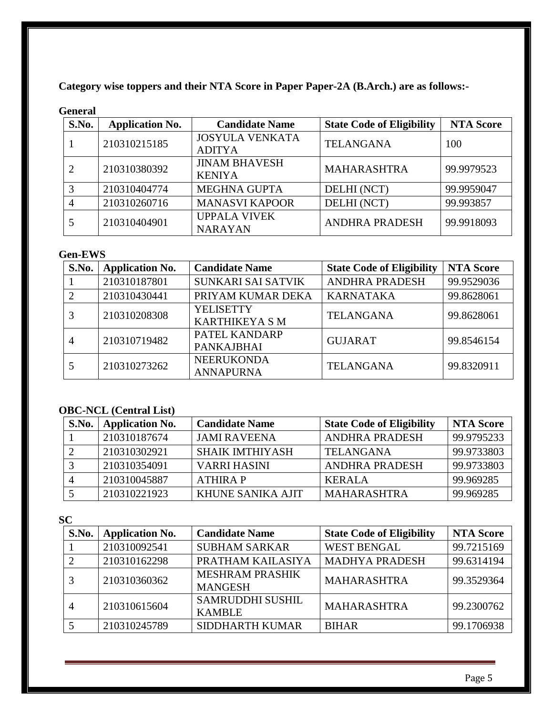**Category wise toppers and their NTA Score in Paper Paper-2A (B.Arch.) are as follows:-**

### **General**

| S.No. | <b>Application No.</b> | <b>Candidate Name</b>                   | <b>State Code of Eligibility</b> | <b>NTA Score</b> |
|-------|------------------------|-----------------------------------------|----------------------------------|------------------|
|       | 210310215185           | <b>JOSYULA VENKATA</b><br><b>ADITYA</b> | <b>TELANGANA</b>                 | 100              |
|       | 210310380392           | <b>JINAM BHAVESH</b><br><b>KENIYA</b>   | <b>MAHARASHTRA</b>               | 99.9979523       |
| 3     | 210310404774           | MEGHNA GUPTA                            | DELHI (NCT)                      | 99.9959047       |
|       | 210310260716           | <b>MANASVI KAPOOR</b>                   | DELHI (NCT)                      | 99.993857        |
|       | 210310404901           | <b>UPPALA VIVEK</b><br><b>NARAYAN</b>   | <b>ANDHRA PRADESH</b>            | 99.9918093       |

# **Gen-EWS**

| S.No.          | <b>Application No.</b> | <b>Candidate Name</b>                     | <b>State Code of Eligibility</b> | <b>NTA Score</b> |
|----------------|------------------------|-------------------------------------------|----------------------------------|------------------|
|                | 210310187801           | SUNKARI SAI SATVIK                        | <b>ANDHRA PRADESH</b>            | 99.9529036       |
|                | 210310430441           | PRIYAM KUMAR DEKA                         | <b>KARNATAKA</b>                 | 99.8628061       |
|                | 210310208308           | <b>YELISETTY</b><br><b>KARTHIKEYA S M</b> | <b>TELANGANA</b>                 | 99.8628061       |
| $\overline{A}$ | 210310719482           | PATEL KANDARP<br><b>PANKAJBHAI</b>        | <b>GUJARAT</b>                   | 99.8546154       |
|                | 210310273262           | <b>NEERUKONDA</b><br><b>ANNAPURNA</b>     | <b>TELANGANA</b>                 | 99.8320911       |

# **OBC-NCL (Central List)**

| S.No. | <b>Application No.</b> | <b>Candidate Name</b>    | <b>State Code of Eligibility</b> | <b>NTA Score</b> |
|-------|------------------------|--------------------------|----------------------------------|------------------|
|       | 210310187674           | <b>JAMI RAVEENA</b>      | <b>ANDHRA PRADESH</b>            | 99.9795233       |
|       | 210310302921           | <b>SHAIK IMTHIYASH</b>   | <b>TELANGANA</b>                 | 99.9733803       |
|       | 210310354091           | <b>VARRI HASINI</b>      | <b>ANDHRA PRADESH</b>            | 99.9733803       |
|       | 210310045887           | <b>ATHIRAP</b>           | <b>KERALA</b>                    | 99.969285        |
|       | 210310221923           | <b>KHUNE SANIKA AJIT</b> | <b>MAHARASHTRA</b>               | 99.969285        |

### **SC**

| S.No. | <b>Application No.</b> | <b>Candidate Name</b>                    | <b>State Code of Eligibility</b> | <b>NTA Score</b> |
|-------|------------------------|------------------------------------------|----------------------------------|------------------|
|       | 210310092541           | <b>SUBHAM SARKAR</b>                     | <b>WEST BENGAL</b>               | 99.7215169       |
|       | 210310162298           | PRATHAM KAILASIYA                        | <b>MADHYA PRADESH</b>            | 99.6314194       |
|       | 210310360362           | <b>MESHRAM PRASHIK</b><br><b>MANGESH</b> | <b>MAHARASHTRA</b>               | 99.3529364       |
|       | 210310615604           | <b>SAMRUDDHI SUSHIL</b><br><b>KAMBLE</b> | <b>MAHARASHTRA</b>               | 99.2300762       |
|       | 210310245789           | <b>SIDDHARTH KUMAR</b>                   | <b>BIHAR</b>                     | 99.1706938       |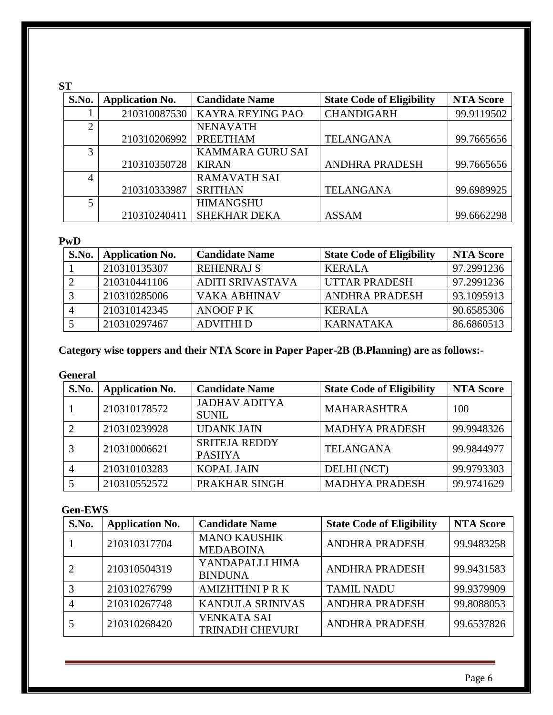# **ST**

| S.No.          | <b>Application No.</b> | <b>Candidate Name</b>   | <b>State Code of Eligibility</b> | <b>NTA Score</b> |
|----------------|------------------------|-------------------------|----------------------------------|------------------|
|                | 210310087530           | KAYRA REYING PAO        | <b>CHANDIGARH</b>                | 99.9119502       |
| $\overline{2}$ |                        | <b>NENAVATH</b>         |                                  |                  |
|                | 210310206992           | <b>PREETHAM</b>         | <b>TELANGANA</b>                 | 99.7665656       |
| 3              |                        | <b>KAMMARA GURU SAI</b> |                                  |                  |
|                | 210310350728           | <b>KIRAN</b>            | <b>ANDHRA PRADESH</b>            | 99.7665656       |
| 4              |                        | <b>RAMAVATH SAI</b>     |                                  |                  |
|                | 210310333987           | <b>SRITHAN</b>          | <b>TELANGANA</b>                 | 99.6989925       |
|                |                        | <b>HIMANGSHU</b>        |                                  |                  |
|                | 210310240411           | <b>SHEKHAR DEKA</b>     | <b>ASSAM</b>                     | 99.6662298       |

### **PwD**

| S.No. | <b>Application No.</b> | <b>Candidate Name</b>   | <b>State Code of Eligibility</b> | <b>NTA Score</b> |
|-------|------------------------|-------------------------|----------------------------------|------------------|
|       | 210310135307           | <b>REHENRAJ S</b>       | <b>KERALA</b>                    | 97.2991236       |
|       | 210310441106           | <b>ADITI SRIVASTAVA</b> | <b>UTTAR PRADESH</b>             | 97.2991236       |
|       | 210310285006           | VAKA ABHINAV            | ANDHRA PRADESH                   | 93.1095913       |
|       | 210310142345           | ANOOF P K               | <b>KERALA</b>                    | 90.6585306       |
|       | 210310297467           | <b>ADVITHI D</b>        | <b>KARNATAKA</b>                 | 86.6860513       |

# **Category wise toppers and their NTA Score in Paper Paper-2B (B.Planning) are as follows:-**

### **General**

| S.No. | <b>Application No.</b> | <b>Candidate Name</b>                 | <b>State Code of Eligibility</b> | <b>NTA Score</b> |
|-------|------------------------|---------------------------------------|----------------------------------|------------------|
|       | 210310178572           | <b>JADHAV ADITYA</b><br><b>SUNIL</b>  | <b>MAHARASHTRA</b>               | 100              |
|       | 210310239928           | <b>UDANK JAIN</b>                     | <b>MADHYA PRADESH</b>            | 99.9948326       |
|       | 210310006621           | <b>SRITEJA REDDY</b><br><b>PASHYA</b> | <b>TELANGANA</b>                 | 99.9844977       |
|       | 210310103283           | <b>KOPAL JAIN</b>                     | DELHI (NCT)                      | 99.9793303       |
|       | 210310552572           | PRAKHAR SINGH                         | <b>MADHYA PRADESH</b>            | 99.9741629       |

### **Gen-EWS**

| S.No. | <b>Application No.</b> | <b>Candidate Name</b>   | <b>State Code of Eligibility</b> | <b>NTA Score</b>                       |
|-------|------------------------|-------------------------|----------------------------------|----------------------------------------|
|       | 210310317704           | <b>MANO KAUSHIK</b>     | <b>ANDHRA PRADESH</b>            | 99.9483258<br>99.9431583<br>99.9379909 |
|       |                        | <b>MEDABOINA</b>        |                                  |                                        |
|       | 210310504319           | YANDAPALLI HIMA         | <b>ANDHRA PRADESH</b>            |                                        |
|       |                        | <b>BINDUNA</b>          |                                  |                                        |
|       | 210310276799           | <b>AMIZHTHNI P R K</b>  | <b>TAMIL NADU</b>                |                                        |
|       | 210310267748           | <b>KANDULA SRINIVAS</b> | <b>ANDHRA PRADESH</b>            | 99.8088053                             |
|       | 210310268420           | <b>VENKATA SAI</b>      | <b>ANDHRA PRADESH</b>            | 99.6537826                             |
|       |                        | <b>TRINADH CHEVURI</b>  |                                  |                                        |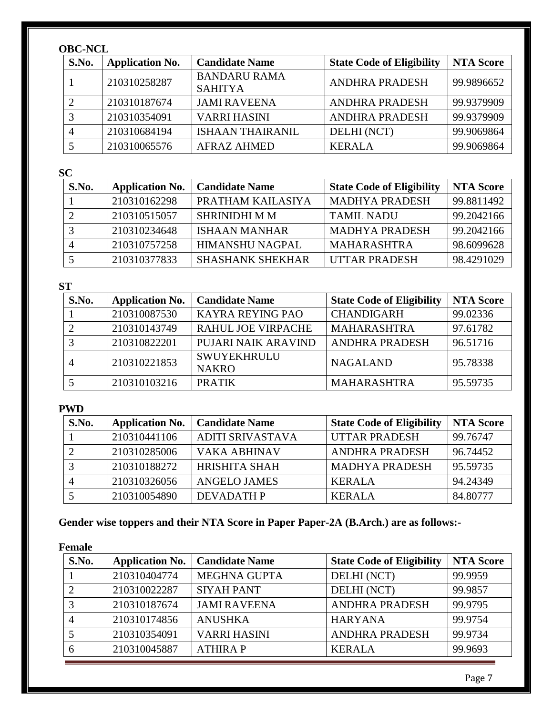# **OBC-NCL**

| S.No. | <b>Application No.</b> | <b>Candidate Name</b>                 | <b>State Code of Eligibility</b> | <b>NTA Score</b> |
|-------|------------------------|---------------------------------------|----------------------------------|------------------|
|       | 210310258287           | <b>BANDARU RAMA</b><br><b>SAHITYA</b> | <b>ANDHRA PRADESH</b>            | 99.9896652       |
|       | 210310187674           | <b>JAMI RAVEENA</b>                   | <b>ANDHRA PRADESH</b>            | 99.9379909       |
|       | 210310354091           | <b>VARRI HASINI</b>                   | <b>ANDHRA PRADESH</b>            | 99.9379909       |
|       | 210310684194           | ISHAAN THAIRANIL                      | DELHI (NCT)                      | 99.9069864       |
|       | 210310065576           | AFRAZ AHMED                           | <b>KERALA</b>                    | 99.9069864       |

**SC**

| S.No. | <b>Application No.</b> | <b>Candidate Name</b>   | <b>State Code of Eligibility</b> | <b>NTA Score</b> |
|-------|------------------------|-------------------------|----------------------------------|------------------|
|       | 210310162298           | PRATHAM KAILASIYA       | <b>MADHYA PRADESH</b>            | 99.8811492       |
|       | 210310515057           | <b>SHRINIDHI M M</b>    | <b>TAMIL NADU</b>                | 99.2042166       |
|       | 210310234648           | <b>ISHAAN MANHAR</b>    | <b>MADHYA PRADESH</b>            | 99.2042166       |
|       | 210310757258           | <b>HIMANSHU NAGPAL</b>  | <b>MAHARASHTRA</b>               | 98.6099628       |
|       | 210310377833           | <b>SHASHANK SHEKHAR</b> | <b>UTTAR PRADESH</b>             | 98.4291029       |

# **ST**

| S.No. | <b>Application No.</b> | <b>Candidate Name</b>              | <b>State Code of Eligibility</b> | <b>NTA Score</b> |
|-------|------------------------|------------------------------------|----------------------------------|------------------|
|       | 210310087530           | KAYRA REYING PAO                   | <b>CHANDIGARH</b>                | 99.02336         |
|       | 210310143749           | <b>RAHUL JOE VIRPACHE</b>          | <b>MAHARASHTRA</b>               | 97.61782         |
|       | 210310822201           | PUJARI NAIK ARAVIND                | <b>ANDHRA PRADESH</b>            | 96.51716         |
|       | 210310221853           | <b>SWUYEKHRULU</b><br><b>NAKRO</b> | <b>NAGALAND</b>                  | 95.78338         |
|       | 210310103216           | <b>PRATIK</b>                      | <b>MAHARASHTRA</b>               | 95.59735         |

### **PWD**

| S.No. | <b>Application No.</b> | <b>Candidate Name</b>   | <b>State Code of Eligibility</b> | <b>NTA Score</b> |
|-------|------------------------|-------------------------|----------------------------------|------------------|
|       | 210310441106           | <b>ADITI SRIVASTAVA</b> | <b>UTTAR PRADESH</b>             | 99.76747         |
|       | 210310285006           | VAKA ABHINAV            | <b>ANDHRA PRADESH</b>            | 96.74452         |
|       | 210310188272           | HRISHITA SHAH           | <b>MADHYA PRADESH</b>            | 95.59735         |
|       | 210310326056           | <b>ANGELO JAMES</b>     | <b>KERALA</b>                    | 94.24349         |
|       | 210310054890           | <b>DEVADATH P</b>       | <b>KERALA</b>                    | 84.80777         |

# **Gender wise toppers and their NTA Score in Paper Paper-2A (B.Arch.) are as follows:-**

### **Female**

| S.No. | <b>Application No.</b> | <b>Candidate Name</b> | <b>State Code of Eligibility</b> | <b>NTA Score</b> |
|-------|------------------------|-----------------------|----------------------------------|------------------|
|       | 210310404774           | <b>MEGHNA GUPTA</b>   | DELHI (NCT)                      | 99.9959          |
|       | 210310022287           | <b>SIYAH PANT</b>     | DELHI (NCT)                      | 99.9857          |
|       | 210310187674           | <b>JAMI RAVEENA</b>   | <b>ANDHRA PRADESH</b>            | 99.9795          |
|       | 210310174856           | <b>ANUSHKA</b>        | <b>HARYANA</b>                   | 99.9754          |
|       | 210310354091           | <b>VARRI HASINI</b>   | <b>ANDHRA PRADESH</b>            | 99.9734          |
|       | 210310045887           | <b>ATHIRAP</b>        | <b>KERALA</b>                    | 99.9693          |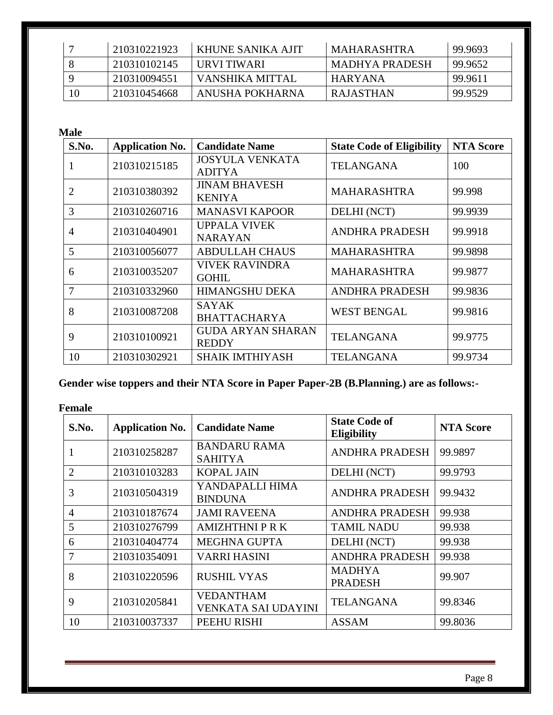|    | 210310221923 | KHUNE SANIKA AJIT | MAHARASHTRA    | 99.9693 |
|----|--------------|-------------------|----------------|---------|
|    | 210310102145 | URVI TIWARI       | MADHYA PRADESH | 99.9652 |
|    | 210310094551 | VANSHIKA MITTAL   | I HARYANA      | 99.9611 |
| 10 | 210310454668 | ANUSHA POKHARNA   | RAJASTHAN      | 99.9529 |

**Male**

| S.No.          | <b>Application No.</b> | <b>Candidate Name</b>                    | <b>State Code of Eligibility</b> | <b>NTA Score</b> |
|----------------|------------------------|------------------------------------------|----------------------------------|------------------|
| 1              | 210310215185           | <b>JOSYULA VENKATA</b><br><b>ADITYA</b>  | <b>TELANGANA</b>                 | 100              |
| $\overline{2}$ | 210310380392           | <b>JINAM BHAVESH</b><br><b>KENIYA</b>    | <b>MAHARASHTRA</b>               | 99.998           |
| 3              | 210310260716           | <b>MANASVI KAPOOR</b>                    | DELHI (NCT)                      | 99.9939          |
| 4              | 210310404901           | <b>UPPALA VIVEK</b><br><b>NARAYAN</b>    | <b>ANDHRA PRADESH</b>            | 99.9918          |
| 5              | 210310056077           | <b>ABDULLAH CHAUS</b>                    | <b>MAHARASHTRA</b>               | 99.9898          |
| 6              | 210310035207           | <b>VIVEK RAVINDRA</b><br><b>GOHIL</b>    | <b>MAHARASHTRA</b>               | 99.9877          |
| $\overline{7}$ | 210310332960           | <b>HIMANGSHU DEKA</b>                    | <b>ANDHRA PRADESH</b>            | 99.9836          |
| 8              | 210310087208           | <b>SAYAK</b><br><b>BHATTACHARYA</b>      | <b>WEST BENGAL</b>               | 99.9816          |
| 9              | 210310100921           | <b>GUDA ARYAN SHARAN</b><br><b>REDDY</b> | <b>TELANGANA</b>                 | 99.9775          |
| 10             | 210310302921           | <b>SHAIK IMTHIYASH</b>                   | <b>TELANGANA</b>                 | 99.9734          |

**Gender wise toppers and their NTA Score in Paper Paper-2B (B.Planning.) are as follows:-**

**Female**

| S.No.          | <b>Application No.</b> | <b>Candidate Name</b>                          | <b>State Code of</b><br><b>Eligibility</b> | <b>NTA Score</b> |
|----------------|------------------------|------------------------------------------------|--------------------------------------------|------------------|
|                | 210310258287           | <b>BANDARU RAMA</b><br><b>SAHITYA</b>          | <b>ANDHRA PRADESH</b>                      | 99.9897          |
| $\overline{2}$ | 210310103283           | <b>KOPAL JAIN</b>                              | DELHI (NCT)                                | 99.9793          |
| 3              | 210310504319           | YANDAPALLI HIMA<br><b>BINDUNA</b>              | <b>ANDHRA PRADESH</b>                      | 99.9432          |
| $\overline{4}$ | 210310187674           | <b>JAMI RAVEENA</b>                            | <b>ANDHRA PRADESH</b>                      | 99.938           |
| 5              | 210310276799           | <b>AMIZHTHNI P R K</b>                         | <b>TAMIL NADU</b>                          | 99.938           |
| 6              | 210310404774           | <b>MEGHNA GUPTA</b>                            | DELHI (NCT)                                | 99.938           |
| 7              | 210310354091           | <b>VARRI HASINI</b>                            | <b>ANDHRA PRADESH</b>                      | 99.938           |
| 8              | 210310220596           | <b>RUSHIL VYAS</b>                             | <b>MADHYA</b><br><b>PRADESH</b>            | 99.907           |
| 9              | 210310205841           | <b>VEDANTHAM</b><br><b>VENKATA SAI UDAYINI</b> | <b>TELANGANA</b>                           | 99.8346          |
| 10             | 210310037337           | PEEHU RISHI                                    | <b>ASSAM</b>                               | 99.8036          |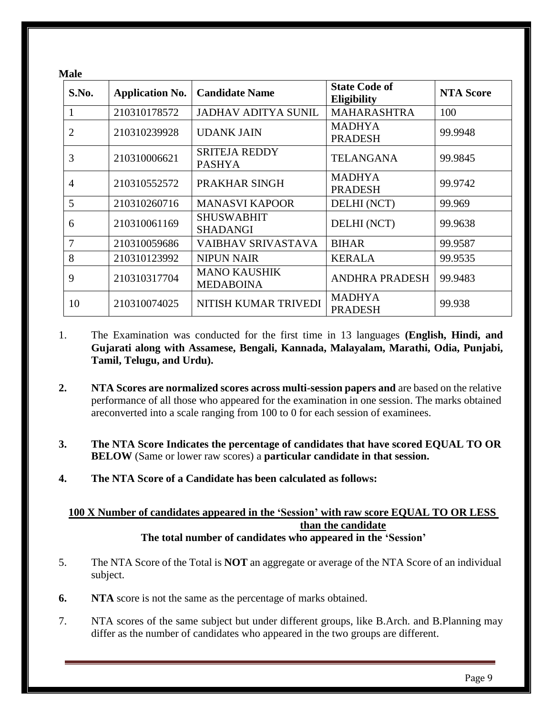| <b>Male</b>    |                        |                                         |                                            |                  |  |  |  |
|----------------|------------------------|-----------------------------------------|--------------------------------------------|------------------|--|--|--|
| S.No.          | <b>Application No.</b> | <b>Candidate Name</b>                   | <b>State Code of</b><br><b>Eligibility</b> | <b>NTA Score</b> |  |  |  |
|                | 210310178572           | <b>JADHAV ADITYA SUNIL</b>              | <b>MAHARASHTRA</b>                         | 100              |  |  |  |
| $\overline{2}$ | 210310239928           | <b>UDANK JAIN</b>                       | <b>MADHYA</b><br><b>PRADESH</b>            | 99.9948          |  |  |  |
| 3              | 210310006621           | <b>SRITEJA REDDY</b><br><b>PASHYA</b>   | <b>TELANGANA</b>                           | 99.9845          |  |  |  |
| $\overline{4}$ | 210310552572           | PRAKHAR SINGH                           | <b>MADHYA</b><br><b>PRADESH</b>            | 99.9742          |  |  |  |
| 5              | 210310260716           | <b>MANASVI KAPOOR</b>                   | DELHI (NCT)                                | 99.969           |  |  |  |
| 6              | 210310061169           | <b>SHUSWABHIT</b><br><b>SHADANGI</b>    | DELHI (NCT)                                | 99.9638          |  |  |  |
| 7              | 210310059686           | VAIBHAV SRIVASTAVA                      | <b>BIHAR</b>                               | 99.9587          |  |  |  |
| 8              | 210310123992           | <b>NIPUN NAIR</b>                       | <b>KERALA</b>                              | 99.9535          |  |  |  |
| 9              | 210310317704           | <b>MANO KAUSHIK</b><br><b>MEDABOINA</b> | <b>ANDHRA PRADESH</b>                      | 99.9483          |  |  |  |
| 10             | 210310074025           | NITISH KUMAR TRIVEDI                    | <b>MADHYA</b><br><b>PRADESH</b>            | 99.938           |  |  |  |

- 1. The Examination was conducted for the first time in 13 languages **(English, Hindi, and Gujarati along with Assamese, Bengali, Kannada, Malayalam, Marathi, Odia, Punjabi, Tamil, Telugu, and Urdu).**
- **2. NTA Scores are normalized scores across multi-session papers and** are based on the relative performance of all those who appeared for the examination in one session. The marks obtained areconverted into a scale ranging from 100 to 0 for each session of examinees.
- **3. The NTA Score Indicates the percentage of candidates that have scored EQUAL TO OR BELOW** (Same or lower raw scores) a **particular candidate in that session.**
- **4. The NTA Score of a Candidate has been calculated as follows:**

#### **100 X Number of candidates appeared in the 'Session' with raw score EQUAL TO OR LESS than the candidate The total number of candidates who appeared in the 'Session'**

- 5. The NTA Score of the Total is **NOT** an aggregate or average of the NTA Score of an individual subject.
- **6. NTA** score is not the same as the percentage of marks obtained.
- 7. NTA scores of the same subject but under different groups, like B.Arch. and B.Planning may differ as the number of candidates who appeared in the two groups are different.